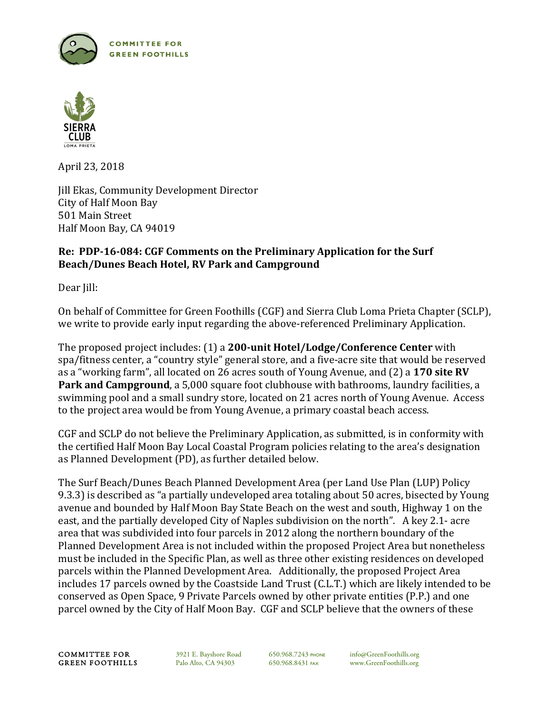



April 23, 2018

**Jill Ekas, Community Development Director** City of Half Moon Bay 501 Main Street Half Moon Bay, CA 94019

# Re: PDP-16-084: CGF Comments on the Preliminary Application for the Surf **Beach/Dunes Beach Hotel, RV Park and Campground**

Dear Jill:

On behalf of Committee for Green Foothills (CGF) and Sierra Club Loma Prieta Chapter (SCLP), we write to provide early input regarding the above-referenced Preliminary Application.

The proposed project includes: (1) a **200-unit Hotel/Lodge/Conference Center** with spa/fitness center, a "country style" general store, and a five-acre site that would be reserved as a "working farm", all located on 26 acres south of Young Avenue, and (2) a 170 site RV **Park and Campground**, a 5,000 square foot clubhouse with bathrooms, laundry facilities, a swimming pool and a small sundry store, located on 21 acres north of Young Avenue. Access to the project area would be from Young Avenue, a primary coastal beach access.

CGF and SCLP do not believe the Preliminary Application, as submitted, is in conformity with the certified Half Moon Bay Local Coastal Program policies relating to the area's designation as Planned Development (PD), as further detailed below.

The Surf Beach/Dunes Beach Planned Development Area (per Land Use Plan (LUP) Policy 9.3.3) is described as "a partially undeveloped area totaling about 50 acres, bisected by Young avenue and bounded by Half Moon Bay State Beach on the west and south, Highway 1 on the east, and the partially developed City of Naples subdivision on the north". A key 2.1- acre area that was subdivided into four parcels in 2012 along the northern boundary of the Planned Development Area is not included within the proposed Project Area but nonetheless must be included in the Specific Plan, as well as three other existing residences on developed parcels within the Planned Development Area. Additionally, the proposed Project Area includes 17 parcels owned by the Coastside Land Trust (C.L.T.) which are likely intended to be conserved as Open Space, 9 Private Parcels owned by other private entities (P.P.) and one parcel owned by the City of Half Moon Bay. CGF and SCLP believe that the owners of these

COMMITTEE FOR 3921 E. Bayshore Road 650.968.7243 PHONE info@GreenFoothills.org<br>
GREEN FOOTHILLS Palo Alto, CA 94303 650.968.8431 FAX www.GreenFoothills.org

650.968.8431 FAX www.GreenFoothills.org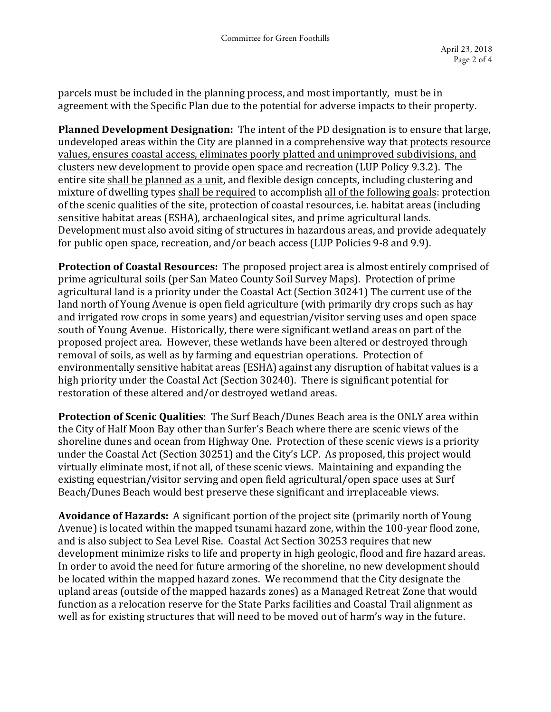parcels must be included in the planning process, and most importantly, must be in agreement with the Specific Plan due to the potential for adverse impacts to their property.

**Planned Development Designation:** The intent of the PD designation is to ensure that large, undeveloped areas within the City are planned in a comprehensive way that protects resource values, ensures coastal access, eliminates poorly platted and unimproved subdivisions, and clusters new development to provide open space and recreation (LUP Policy 9.3.2). The entire site shall be planned as a unit, and flexible design concepts, including clustering and mixture of dwelling types shall be required to accomplish all of the following goals: protection of the scenic qualities of the site, protection of coastal resources, i.e. habitat areas (including sensitive habitat areas (ESHA), archaeological sites, and prime agricultural lands. Development must also avoid siting of structures in hazardous areas, and provide adequately for public open space, recreation, and/or beach access (LUP Policies 9-8 and 9.9).

**Protection of Coastal Resources:** The proposed project area is almost entirely comprised of prime agricultural soils (per San Mateo County Soil Survey Maps). Protection of prime agricultural land is a priority under the Coastal Act (Section 30241) The current use of the land north of Young Avenue is open field agriculture (with primarily dry crops such as hay and irrigated row crops in some years) and equestrian/visitor serving uses and open space south of Young Avenue. Historically, there were significant wetland areas on part of the proposed project area. However, these wetlands have been altered or destroyed through removal of soils, as well as by farming and equestrian operations. Protection of environmentally sensitive habitat areas (ESHA) against any disruption of habitat values is a high priority under the Coastal Act (Section 30240). There is significant potential for restoration of these altered and/or destroyed wetland areas.

**Protection of Scenic Qualities**: The Surf Beach/Dunes Beach area is the ONLY area within the City of Half Moon Bay other than Surfer's Beach where there are scenic views of the shoreline dunes and ocean from Highway One. Protection of these scenic views is a priority under the Coastal Act (Section 30251) and the City's LCP. As proposed, this project would virtually eliminate most, if not all, of these scenic views. Maintaining and expanding the existing equestrian/visitor serving and open field agricultural/open space uses at Surf Beach/Dunes Beach would best preserve these significant and irreplaceable views.

**Avoidance of Hazards:** A significant portion of the project site (primarily north of Young Avenue) is located within the mapped tsunami hazard zone, within the 100-year flood zone, and is also subject to Sea Level Rise. Coastal Act Section 30253 requires that new development minimize risks to life and property in high geologic, flood and fire hazard areas. In order to avoid the need for future armoring of the shoreline, no new development should be located within the mapped hazard zones. We recommend that the City designate the upland areas (outside of the mapped hazards zones) as a Managed Retreat Zone that would function as a relocation reserve for the State Parks facilities and Coastal Trail alignment as well as for existing structures that will need to be moved out of harm's way in the future.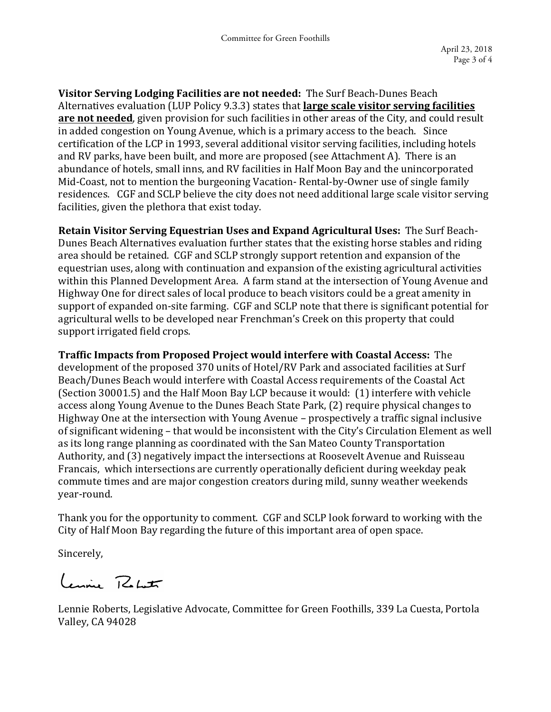**Visitor Serving Lodging Facilities are not needed:** The Surf Beach-Dunes Beach Alternatives evaluation (LUP Policy 9.3.3) states that **large scale visitor serving facilities are not needed**, given provision for such facilities in other areas of the City, and could result in added congestion on Young Avenue, which is a primary access to the beach. Since certification of the LCP in 1993, several additional visitor serving facilities, including hotels and RV parks, have been built, and more are proposed (see Attachment A). There is an abundance of hotels, small inns, and RV facilities in Half Moon Bay and the unincorporated Mid-Coast, not to mention the burgeoning Vacation- Rental-by-Owner use of single family residences. CGF and SCLP believe the city does not need additional large scale visitor serving facilities, given the plethora that exist today.

**Retain Visitor Serving Equestrian Uses and Expand Agricultural Uses:** The Surf Beach-Dunes Beach Alternatives evaluation further states that the existing horse stables and riding area should be retained. CGF and SCLP strongly support retention and expansion of the equestrian uses, along with continuation and expansion of the existing agricultural activities within this Planned Development Area. A farm stand at the intersection of Young Avenue and Highway One for direct sales of local produce to beach visitors could be a great amenity in support of expanded on-site farming. CGF and SCLP note that there is significant potential for agricultural wells to be developed near Frenchman's Creek on this property that could support irrigated field crops.

**Traffic Impacts from Proposed Project would interfere with Coastal Access:** The development of the proposed 370 units of Hotel/RV Park and associated facilities at Surf Beach/Dunes Beach would interfere with Coastal Access requirements of the Coastal Act (Section 30001.5) and the Half Moon Bay LCP because it would: (1) interfere with vehicle access along Young Avenue to the Dunes Beach State Park, (2) require physical changes to Highway One at the intersection with Young Avenue - prospectively a traffic signal inclusive of significant widening – that would be inconsistent with the City's Circulation Element as well as its long range planning as coordinated with the San Mateo County Transportation Authority, and (3) negatively impact the intersections at Roosevelt Avenue and Ruisseau Francais, which intersections are currently operationally deficient during weekday peak commute times and are major congestion creators during mild, sunny weather weekends year-round. 

Thank you for the opportunity to comment. CGF and SCLP look forward to working with the City of Half Moon Bay regarding the future of this important area of open space.

Sincerely,

Lennie Return

Lennie Roberts, Legislative Advocate, Committee for Green Foothills, 339 La Cuesta, Portola Valley, CA 94028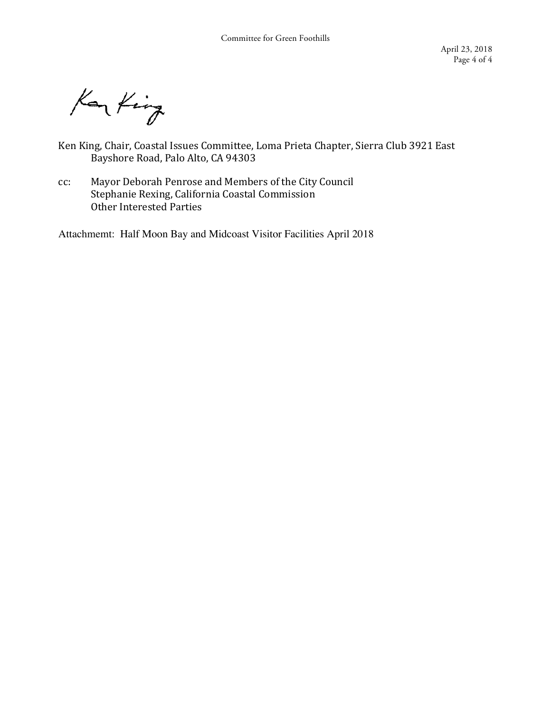Kar King

- Ken King, Chair, Coastal Issues Committee, Loma Prieta Chapter, Sierra Club 3921 East Bayshore Road, Palo Alto, CA 94303
- cc: Mayor Deborah Penrose and Members of the City Council Stephanie Rexing, California Coastal Commission Other Interested Parties

Attachmemt: Half Moon Bay and Midcoast Visitor Facilities April 2018